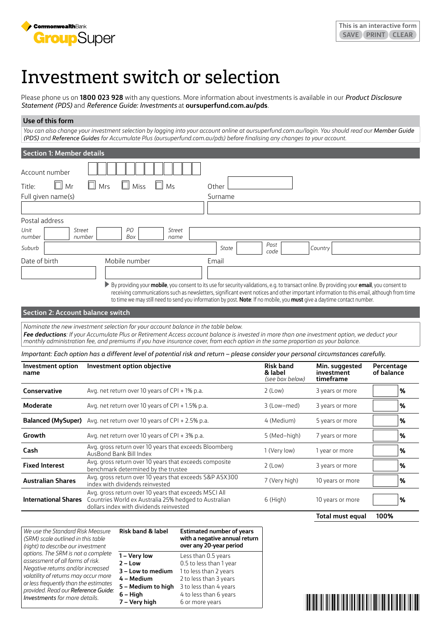

# Investment switch or selection

Please phone us on **1800 023 928** with any questions. More information about investments is available in our *Product Disclosure Statement (PDS)* and *Reference Guide: Investments* at **[oursuperfund.com.au/pds](https://oursuperfund.com.au/pds)**.

## **Use of this form**

*You can also change your investment selection by logging into your account online at oursuperfund.com.au/login. You should read our Member Guide (PDS) and Reference Guides for Accumulate Plus [\(oursuperfund.com.au/pds\)](https://oursuperfund.com.au/pds) before finalising any changes to your account.*

| <b>Section 1: Member details</b>          |                                                                                                                                                                                                                                                                                                                                                                                                                                                                                                           |         |                                                |                                           |                          |
|-------------------------------------------|-----------------------------------------------------------------------------------------------------------------------------------------------------------------------------------------------------------------------------------------------------------------------------------------------------------------------------------------------------------------------------------------------------------------------------------------------------------------------------------------------------------|---------|------------------------------------------------|-------------------------------------------|--------------------------|
| Account number<br>$\Box$ Mr               | $\Box$ Miss<br>$\Box$ Mrs<br>$\Box$<br>Ms                                                                                                                                                                                                                                                                                                                                                                                                                                                                 |         |                                                |                                           |                          |
| Title:                                    |                                                                                                                                                                                                                                                                                                                                                                                                                                                                                                           | Other   |                                                |                                           |                          |
| Full given name(s)                        |                                                                                                                                                                                                                                                                                                                                                                                                                                                                                                           | Surname |                                                |                                           |                          |
|                                           |                                                                                                                                                                                                                                                                                                                                                                                                                                                                                                           |         |                                                |                                           |                          |
| Postal address                            |                                                                                                                                                                                                                                                                                                                                                                                                                                                                                                           |         |                                                |                                           |                          |
| Unit<br><b>Street</b><br>number<br>number | PO<br><b>Street</b><br>Box<br>name                                                                                                                                                                                                                                                                                                                                                                                                                                                                        |         |                                                |                                           |                          |
| Suburb                                    |                                                                                                                                                                                                                                                                                                                                                                                                                                                                                                           | State   | Post<br>code                                   | Country                                   |                          |
| Date of birth                             | Mobile number                                                                                                                                                                                                                                                                                                                                                                                                                                                                                             | Email   |                                                |                                           |                          |
|                                           |                                                                                                                                                                                                                                                                                                                                                                                                                                                                                                           |         |                                                |                                           |                          |
|                                           | By providing your mobile, you consent to its use for security validations, e.g. to transact online. By providing your email, you consent to<br>receiving communications such as newsletters, significant event notices and other important information to this email, although from time<br>to time we may still need to send you information by post. Note: If no mobile, you must give a daytime contact number.                                                                                        |         |                                                |                                           |                          |
| <b>Section 2: Account balance switch</b>  |                                                                                                                                                                                                                                                                                                                                                                                                                                                                                                           |         |                                                |                                           |                          |
|                                           | Nominate the new investment selection for your account balance in the table below.<br>Fee deductions: If your Accumulate Plus or Retirement Access account balance is invested in more than one investment option, we deduct your<br>monthly administration fee, and premiums if you have insurance cover, from each option in the same proportion as your balance.<br>Important: Each option has a different level of potential risk and return – please consider your personal circumstances carefully. |         |                                                |                                           |                          |
| Investment option<br>name                 | Investment option objective                                                                                                                                                                                                                                                                                                                                                                                                                                                                               |         | <b>Risk band</b><br>& label<br>(see box below) | Min. suggested<br>investment<br>timeframe | Percentage<br>of balance |
| Conservative                              | Avg. net return over 10 years of CPI + 1% p.a.                                                                                                                                                                                                                                                                                                                                                                                                                                                            |         | $2$ (Low)                                      | 3 years or more                           | %                        |
| <b>Moderate</b>                           | Avg. net return over 10 years of CPI + 1.5% p.a.                                                                                                                                                                                                                                                                                                                                                                                                                                                          |         | 3 (Low-med)                                    | 3 years or more                           | %                        |
|                                           | <b>Balanced (MySuper)</b> Avg. net return over 10 years of CPI + 2.5% p.a.                                                                                                                                                                                                                                                                                                                                                                                                                                |         | 4 (Medium)                                     | 5 years or more                           | %                        |
| Growth                                    | Avg. net return over 10 years of CPI + 3% p.a.                                                                                                                                                                                                                                                                                                                                                                                                                                                            |         | 5 (Med-high)                                   | 7 years or more                           | $\%$                     |
| Cash                                      | Avg. gross return over 10 years that exceeds Bloomberg<br>AusBond Bank Bill Index                                                                                                                                                                                                                                                                                                                                                                                                                         |         | 1 (Very low)                                   | 1 year or more                            | %                        |
| <b>Fixed Interest</b>                     | Avg. gross return over 10 years that exceeds composite<br>benchmark determined by the trustee                                                                                                                                                                                                                                                                                                                                                                                                             |         | $2$ (Low)                                      | 3 years or more                           | %                        |
| <b>Australian Shares</b>                  | Avg. gross return over 10 years that exceeds S&P ASX300<br>index with dividends reinvested                                                                                                                                                                                                                                                                                                                                                                                                                |         | 7 (Very high)                                  | 10 years or more                          | %                        |
| <b>International Shares</b>               | Avg. gross return over 10 years that exceeds MSCI All<br>Countries World ex Australia 25% hedged to Australian<br>dollars index with dividends reinvested                                                                                                                                                                                                                                                                                                                                                 |         | $6$ (High)                                     | 10 years or more                          | %                        |

| We use the Standard Risk Measure<br>(SRM) scale outlined in this table<br>(right) to describe our investment | <b>Risk band &amp; label</b> | <b>Estimated number of years</b><br>with a negative annual return<br>over any 20-year period |  |
|--------------------------------------------------------------------------------------------------------------|------------------------------|----------------------------------------------------------------------------------------------|--|
| options. The SRM is not a complete                                                                           | 1 – Very low                 | Less than 0.5 years                                                                          |  |
| assessment of all forms of risk.                                                                             | $2 - Low$                    | 0.5 to less than 1 year                                                                      |  |
| Negative returns and/or increased                                                                            | 3 - Low to medium            | 1 to less than 2 years                                                                       |  |
| volatility of returns may occur more                                                                         | 4 - Medium                   | 2 to less than 3 years                                                                       |  |
| or less frequently than the estimates<br>provided. Read our Reference Guide:                                 | 5 - Medium to high           | 3 to less than 4 years                                                                       |  |
| <b>Investments</b> for more details.                                                                         | $6 - High$                   | 4 to less than 6 years                                                                       |  |
|                                                                                                              | 7 - Very high                | 6 or more years                                                                              |  |

**The Common Section And All And All And A** 

**Total must equal 100%**